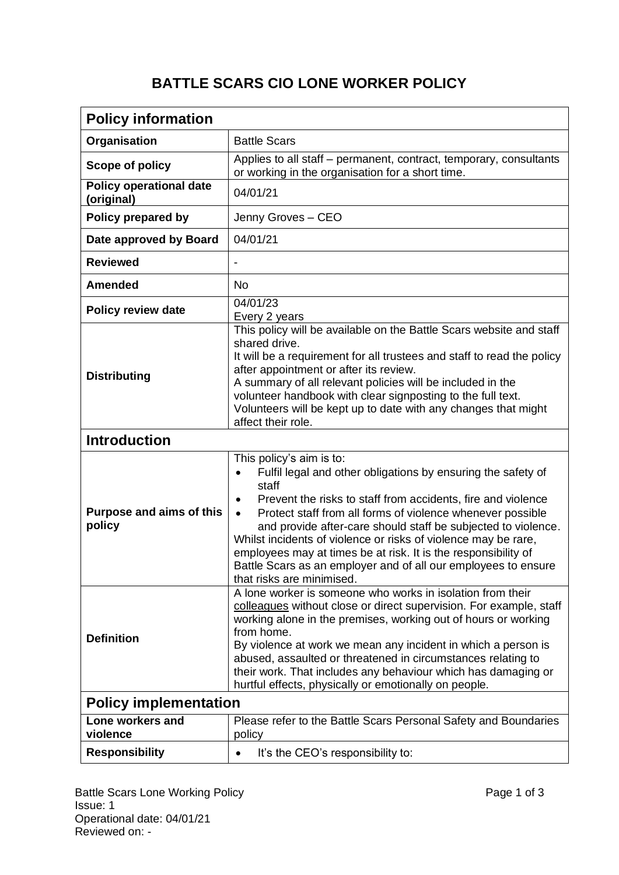## **BATTLE SCARS CIO LONE WORKER POLICY**

| <b>Policy information</b>                    |                                                                                                                                                                                                                                                                                                                                                                                                                                                                                                                                                               |
|----------------------------------------------|---------------------------------------------------------------------------------------------------------------------------------------------------------------------------------------------------------------------------------------------------------------------------------------------------------------------------------------------------------------------------------------------------------------------------------------------------------------------------------------------------------------------------------------------------------------|
| Organisation                                 | <b>Battle Scars</b>                                                                                                                                                                                                                                                                                                                                                                                                                                                                                                                                           |
| Scope of policy                              | Applies to all staff - permanent, contract, temporary, consultants<br>or working in the organisation for a short time.                                                                                                                                                                                                                                                                                                                                                                                                                                        |
| <b>Policy operational date</b><br>(original) | 04/01/21                                                                                                                                                                                                                                                                                                                                                                                                                                                                                                                                                      |
| Policy prepared by                           | Jenny Groves - CEO                                                                                                                                                                                                                                                                                                                                                                                                                                                                                                                                            |
| Date approved by Board                       | 04/01/21                                                                                                                                                                                                                                                                                                                                                                                                                                                                                                                                                      |
| <b>Reviewed</b>                              |                                                                                                                                                                                                                                                                                                                                                                                                                                                                                                                                                               |
| <b>Amended</b>                               | <b>No</b>                                                                                                                                                                                                                                                                                                                                                                                                                                                                                                                                                     |
| <b>Policy review date</b>                    | 04/01/23<br>Every 2 years                                                                                                                                                                                                                                                                                                                                                                                                                                                                                                                                     |
| <b>Distributing</b>                          | This policy will be available on the Battle Scars website and staff<br>shared drive.<br>It will be a requirement for all trustees and staff to read the policy<br>after appointment or after its review.<br>A summary of all relevant policies will be included in the<br>volunteer handbook with clear signposting to the full text.<br>Volunteers will be kept up to date with any changes that might<br>affect their role.                                                                                                                                 |
| <b>Introduction</b>                          |                                                                                                                                                                                                                                                                                                                                                                                                                                                                                                                                                               |
| <b>Purpose and aims of this</b><br>policy    | This policy's aim is to:<br>Fulfil legal and other obligations by ensuring the safety of<br>staff<br>Prevent the risks to staff from accidents, fire and violence<br>$\bullet$<br>Protect staff from all forms of violence whenever possible<br>$\bullet$<br>and provide after-care should staff be subjected to violence.<br>Whilst incidents of violence or risks of violence may be rare,<br>employees may at times be at risk. It is the responsibility of<br>Battle Scars as an employer and of all our employees to ensure<br>that risks are minimised. |
| <b>Definition</b>                            | A lone worker is someone who works in isolation from their<br>colleagues without close or direct supervision. For example, staff<br>working alone in the premises, working out of hours or working<br>from home.<br>By violence at work we mean any incident in which a person is<br>abused, assaulted or threatened in circumstances relating to<br>their work. That includes any behaviour which has damaging or<br>hurtful effects, physically or emotionally on people.                                                                                   |
| <b>Policy implementation</b>                 |                                                                                                                                                                                                                                                                                                                                                                                                                                                                                                                                                               |
| Lone workers and<br>violence                 | Please refer to the Battle Scars Personal Safety and Boundaries<br>policy                                                                                                                                                                                                                                                                                                                                                                                                                                                                                     |
| <b>Responsibility</b>                        | It's the CEO's responsibility to:<br>$\bullet$                                                                                                                                                                                                                                                                                                                                                                                                                                                                                                                |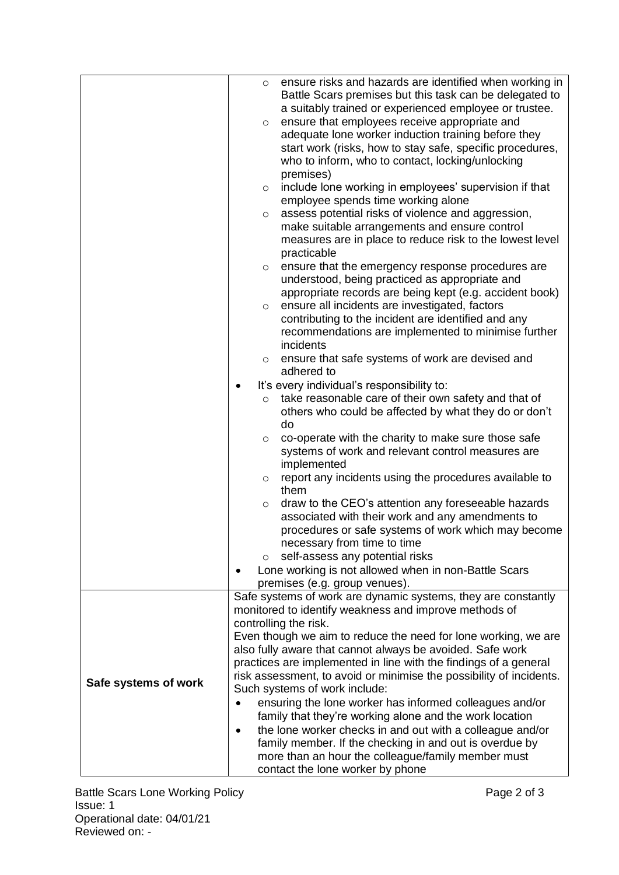|                      | ensure risks and hazards are identified when working in<br>$\circ$<br>Battle Scars premises but this task can be delegated to<br>a suitably trained or experienced employee or trustee.<br>ensure that employees receive appropriate and<br>$\circ$<br>adequate lone worker induction training before they<br>start work (risks, how to stay safe, specific procedures,<br>who to inform, who to contact, locking/unlocking<br>premises)<br>include lone working in employees' supervision if that<br>$\circ$<br>employee spends time working alone<br>assess potential risks of violence and aggression,<br>$\circ$<br>make suitable arrangements and ensure control<br>measures are in place to reduce risk to the lowest level<br>practicable<br>ensure that the emergency response procedures are<br>$\circ$<br>understood, being practiced as appropriate and<br>appropriate records are being kept (e.g. accident book)<br>ensure all incidents are investigated, factors<br>$\circ$<br>contributing to the incident are identified and any<br>recommendations are implemented to minimise further<br>incidents<br>ensure that safe systems of work are devised and<br>$\circ$<br>adhered to<br>It's every individual's responsibility to:<br>take reasonable care of their own safety and that of<br>$\circ$<br>others who could be affected by what they do or don't |
|----------------------|------------------------------------------------------------------------------------------------------------------------------------------------------------------------------------------------------------------------------------------------------------------------------------------------------------------------------------------------------------------------------------------------------------------------------------------------------------------------------------------------------------------------------------------------------------------------------------------------------------------------------------------------------------------------------------------------------------------------------------------------------------------------------------------------------------------------------------------------------------------------------------------------------------------------------------------------------------------------------------------------------------------------------------------------------------------------------------------------------------------------------------------------------------------------------------------------------------------------------------------------------------------------------------------------------------------------------------------------------------------------------|
|                      | do<br>co-operate with the charity to make sure those safe<br>$\circ$<br>systems of work and relevant control measures are<br>implemented<br>report any incidents using the procedures available to<br>$\circ$<br>them<br>draw to the CEO's attention any foreseeable hazards<br>$\circ$                                                                                                                                                                                                                                                                                                                                                                                                                                                                                                                                                                                                                                                                                                                                                                                                                                                                                                                                                                                                                                                                                      |
|                      | associated with their work and any amendments to<br>procedures or safe systems of work which may become<br>necessary from time to time<br>self-assess any potential risks<br>O<br>Lone working is not allowed when in non-Battle Scars                                                                                                                                                                                                                                                                                                                                                                                                                                                                                                                                                                                                                                                                                                                                                                                                                                                                                                                                                                                                                                                                                                                                       |
|                      | premises (e.g. group venues).                                                                                                                                                                                                                                                                                                                                                                                                                                                                                                                                                                                                                                                                                                                                                                                                                                                                                                                                                                                                                                                                                                                                                                                                                                                                                                                                                |
|                      | Safe systems of work are dynamic systems, they are constantly<br>monitored to identify weakness and improve methods of<br>controlling the risk.<br>Even though we aim to reduce the need for lone working, we are<br>also fully aware that cannot always be avoided. Safe work<br>practices are implemented in line with the findings of a general                                                                                                                                                                                                                                                                                                                                                                                                                                                                                                                                                                                                                                                                                                                                                                                                                                                                                                                                                                                                                           |
| Safe systems of work | risk assessment, to avoid or minimise the possibility of incidents.<br>Such systems of work include:<br>ensuring the lone worker has informed colleagues and/or<br>family that they're working alone and the work location<br>the lone worker checks in and out with a colleague and/or<br>family member. If the checking in and out is overdue by<br>more than an hour the colleague/family member must<br>contact the lone worker by phone                                                                                                                                                                                                                                                                                                                                                                                                                                                                                                                                                                                                                                                                                                                                                                                                                                                                                                                                 |

Battle Scars Lone Working Policy **Page 2 of 3** According Page 2 of 3 Issue: 1 Operational date: 04/01/21 Reviewed on: -